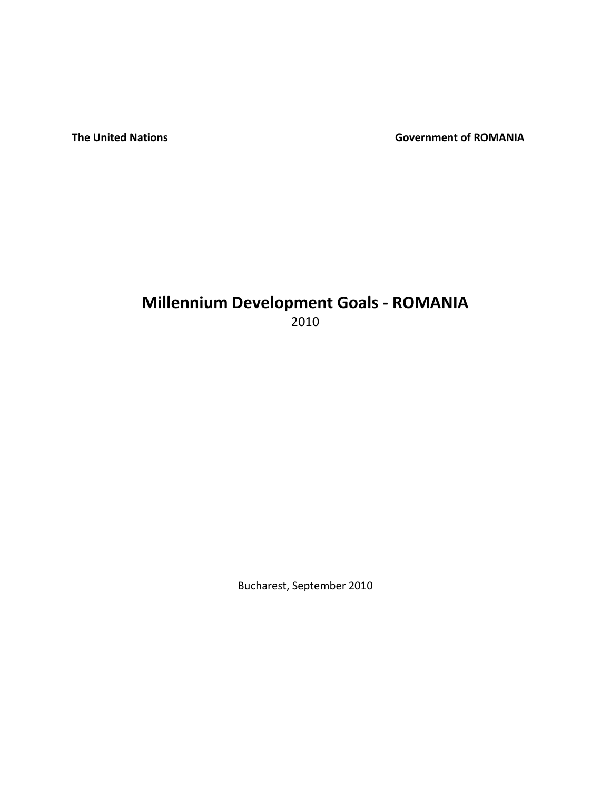**The United Nations Covernment of ROMANIA** 

# **Millennium Development Goals - ROMANIA**  2010

Bucharest, September 2010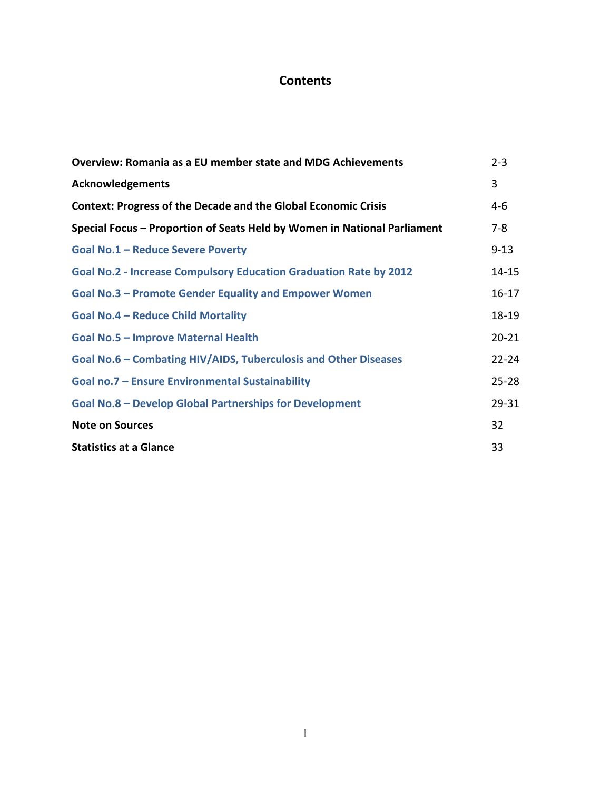# **Contents**

| <b>Overview: Romania as a EU member state and MDG Achievements</b>       |           |  |  |  |
|--------------------------------------------------------------------------|-----------|--|--|--|
| <b>Acknowledgements</b>                                                  | 3         |  |  |  |
| <b>Context: Progress of the Decade and the Global Economic Crisis</b>    | $4-6$     |  |  |  |
| Special Focus - Proportion of Seats Held by Women in National Parliament | $7 - 8$   |  |  |  |
| Goal No.1 - Reduce Severe Poverty                                        | $9 - 13$  |  |  |  |
| Goal No.2 - Increase Compulsory Education Graduation Rate by 2012        | $14 - 15$ |  |  |  |
| <b>Goal No.3 – Promote Gender Equality and Empower Women</b>             | $16 - 17$ |  |  |  |
| <b>Goal No.4 - Reduce Child Mortality</b>                                | $18 - 19$ |  |  |  |
| Goal No.5 - Improve Maternal Health                                      | $20 - 21$ |  |  |  |
| Goal No.6 – Combating HIV/AIDS, Tuberculosis and Other Diseases          | $22 - 24$ |  |  |  |
| Goal no.7 - Ensure Environmental Sustainability                          | $25 - 28$ |  |  |  |
| <b>Goal No.8 - Develop Global Partnerships for Development</b>           | 29-31     |  |  |  |
| <b>Note on Sources</b>                                                   | 32        |  |  |  |
| <b>Statistics at a Glance</b>                                            | 33        |  |  |  |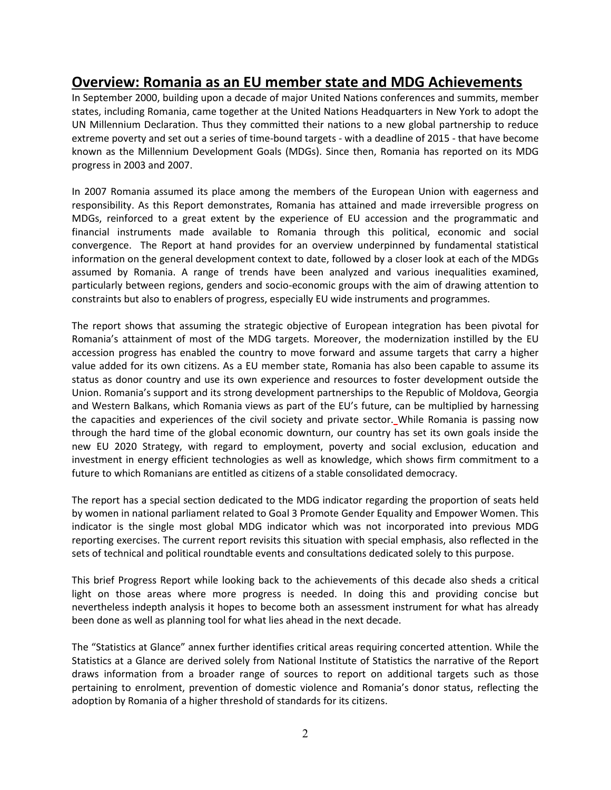# **Overview: Romania as an EU member state and MDG Achievements**

In September 2000, building upon a decade of major United Nations conferences and summits, member states, including Romania, came together at the United Nations Headquarters in New York to adopt the [UN Millennium Declaration.](http://www.un.org/millennium/declaration/ares552e.pdf) Thus they committed their nations to a new global partnership to reduce extreme poverty and set out a series of time-bound targets - with a deadline of 2015 - that have become known as the Millennium Development Goals (MDGs). Since then, Romania has reported on its MDG progress in 2003 and 2007.

In 2007 Romania assumed its place among the members of the European Union with eagerness and responsibility. As this Report demonstrates, Romania has attained and made irreversible progress on MDGs, reinforced to a great extent by the experience of EU accession and the programmatic and financial instruments made available to Romania through this political, economic and social convergence. The Report at hand provides for an overview underpinned by fundamental statistical information on the general development context to date, followed by a closer look at each of the MDGs assumed by Romania. A range of trends have been analyzed and various inequalities examined, particularly between regions, genders and socio-economic groups with the aim of drawing attention to constraints but also to enablers of progress, especially EU wide instruments and programmes.

The report shows that assuming the strategic objective of European integration has been pivotal for Romania's attainment of most of the MDG targets. Moreover, the modernization instilled by the EU accession progress has enabled the country to move forward and assume targets that carry a higher value added for its own citizens. As a EU member state, Romania has also been capable to assume its status as donor country and use its own experience and resources to foster development outside the Union. Romania's support and its strong development partnerships to the Republic of Moldova, Georgia and Western Balkans, which Romania views as part of the EU's future, can be multiplied by harnessing the capacities and experiences of the civil society and private sector. While Romania is passing now through the hard time of the global economic downturn, our country has set its own goals inside the new EU 2020 Strategy, with regard to employment, poverty and social exclusion, education and investment in energy efficient technologies as well as knowledge, which shows firm commitment to a future to which Romanians are entitled as citizens of a stable consolidated democracy.

The report has a special section dedicated to the MDG indicator regarding the proportion of seats held by women in national parliament related to Goal 3 Promote Gender Equality and Empower Women. This indicator is the single most global MDG indicator which was not incorporated into previous MDG reporting exercises. The current report revisits this situation with special emphasis, also reflected in the sets of technical and political roundtable events and consultations dedicated solely to this purpose.

This brief Progress Report while looking back to the achievements of this decade also sheds a critical light on those areas where more progress is needed. In doing this and providing concise but nevertheless indepth analysis it hopes to become both an assessment instrument for what has already been done as well as planning tool for what lies ahead in the next decade.

The "Statistics at Glance" annex further identifies critical areas requiring concerted attention. While the Statistics at a Glance are derived solely from National Institute of Statistics the narrative of the Report draws information from a broader range of sources to report on additional targets such as those pertaining to enrolment, prevention of domestic violence and Romania's donor status, reflecting the adoption by Romania of a higher threshold of standards for its citizens.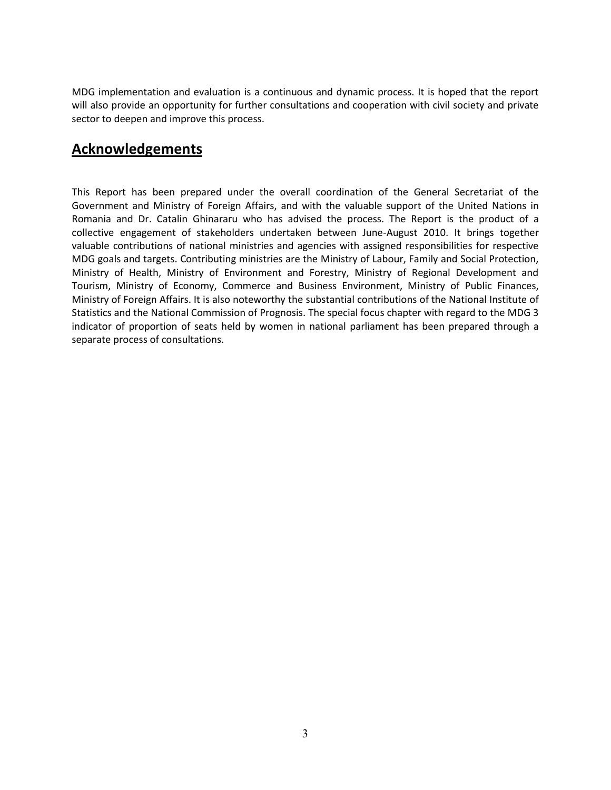MDG implementation and evaluation is a continuous and dynamic process. It is hoped that the report will also provide an opportunity for further consultations and cooperation with civil society and private sector to deepen and improve this process.

# **Acknowledgements**

This Report has been prepared under the overall coordination of the General Secretariat of the Government and Ministry of Foreign Affairs, and with the valuable support of the United Nations in Romania and Dr. Catalin Ghinararu who has advised the process. The Report is the product of a collective engagement of stakeholders undertaken between June-August 2010. It brings together valuable contributions of national ministries and agencies with assigned responsibilities for respective MDG goals and targets. Contributing ministries are the Ministry of Labour, Family and Social Protection, Ministry of Health, Ministry of Environment and Forestry, Ministry of Regional Development and Tourism, Ministry of Economy, Commerce and Business Environment, Ministry of Public Finances, Ministry of Foreign Affairs. It is also noteworthy the substantial contributions of the National Institute of Statistics and the National Commission of Prognosis. The special focus chapter with regard to the MDG 3 indicator of proportion of seats held by women in national parliament has been prepared through a separate process of consultations.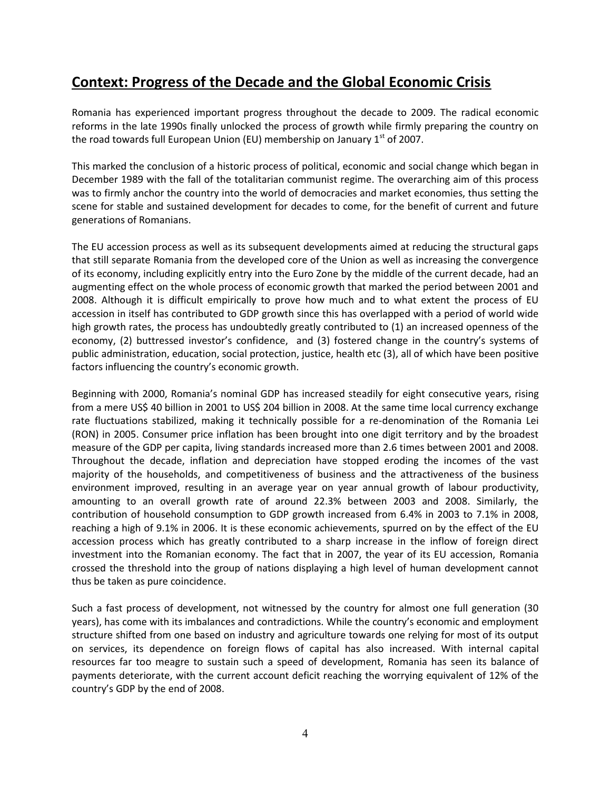# **Context: Progress of the Decade and the Global Economic Crisis**

Romania has experienced important progress throughout the decade to 2009. The radical economic reforms in the late 1990s finally unlocked the process of growth while firmly preparing the country on the road towards full European Union (EU) membership on January 1<sup>st</sup> of 2007.

This marked the conclusion of a historic process of political, economic and social change which began in December 1989 with the fall of the totalitarian communist regime. The overarching aim of this process was to firmly anchor the country into the world of democracies and market economies, thus setting the scene for stable and sustained development for decades to come, for the benefit of current and future generations of Romanians.

The EU accession process as well as its subsequent developments aimed at reducing the structural gaps that still separate Romania from the developed core of the Union as well as increasing the convergence of its economy, including explicitly entry into the Euro Zone by the middle of the current decade, had an augmenting effect on the whole process of economic growth that marked the period between 2001 and 2008. Although it is difficult empirically to prove how much and to what extent the process of EU accession in itself has contributed to GDP growth since this has overlapped with a period of world wide high growth rates, the process has undoubtedly greatly contributed to (1) an increased openness of the economy, (2) buttressed investor's confidence, and (3) fostered change in the country's systems of public administration, education, social protection, justice, health etc (3), all of which have been positive factors influencing the country's economic growth.

Beginning with 2000, Romania's nominal GDP has increased steadily for eight consecutive years, rising from a mere US\$ 40 billion in 2001 to US\$ 204 billion in 2008. At the same time local currency exchange rate fluctuations stabilized, making it technically possible for a re-denomination of the Romania Lei (RON) in 2005. Consumer price inflation has been brought into one digit territory and by the broadest measure of the GDP per capita, living standards increased more than 2.6 times between 2001 and 2008. Throughout the decade, inflation and depreciation have stopped eroding the incomes of the vast majority of the households, and competitiveness of business and the attractiveness of the business environment improved, resulting in an average year on year annual growth of labour productivity, amounting to an overall growth rate of around 22.3% between 2003 and 2008. Similarly, the contribution of household consumption to GDP growth increased from 6.4% in 2003 to 7.1% in 2008, reaching a high of 9.1% in 2006. It is these economic achievements, spurred on by the effect of the EU accession process which has greatly contributed to a sharp increase in the inflow of foreign direct investment into the Romanian economy. The fact that in 2007, the year of its EU accession, Romania crossed the threshold into the group of nations displaying a high level of human development cannot thus be taken as pure coincidence.

Such a fast process of development, not witnessed by the country for almost one full generation (30 years), has come with its imbalances and contradictions. While the country's economic and employment structure shifted from one based on industry and agriculture towards one relying for most of its output on services, its dependence on foreign flows of capital has also increased. With internal capital resources far too meagre to sustain such a speed of development, Romania has seen its balance of payments deteriorate, with the current account deficit reaching the worrying equivalent of 12% of the country's GDP by the end of 2008.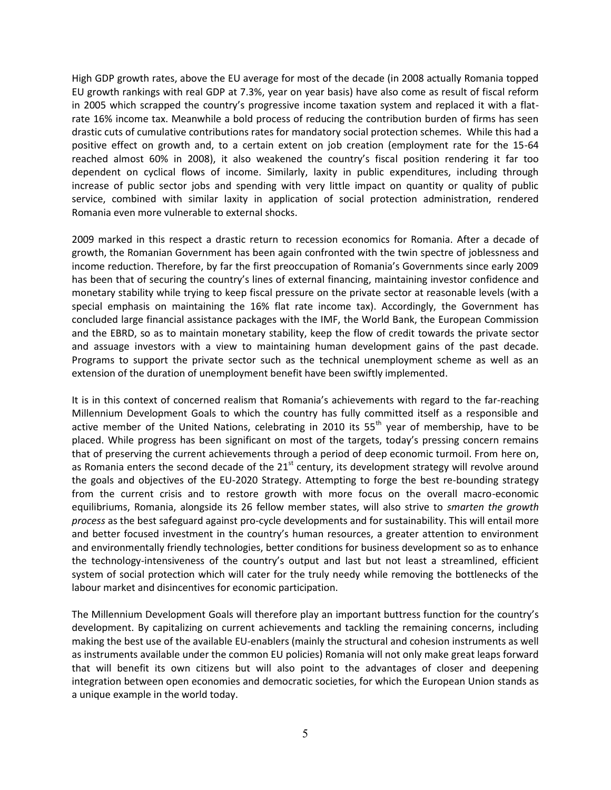High GDP growth rates, above the EU average for most of the decade (in 2008 actually Romania topped EU growth rankings with real GDP at 7.3%, year on year basis) have also come as result of fiscal reform in 2005 which scrapped the country's progressive income taxation system and replaced it with a flatrate 16% income tax. Meanwhile a bold process of reducing the contribution burden of firms has seen drastic cuts of cumulative contributions rates for mandatory social protection schemes. While this had a positive effect on growth and, to a certain extent on job creation (employment rate for the 15-64 reached almost 60% in 2008), it also weakened the country's fiscal position rendering it far too dependent on cyclical flows of income. Similarly, laxity in public expenditures, including through increase of public sector jobs and spending with very little impact on quantity or quality of public service, combined with similar laxity in application of social protection administration, rendered Romania even more vulnerable to external shocks.

2009 marked in this respect a drastic return to recession economics for Romania. After a decade of growth, the Romanian Government has been again confronted with the twin spectre of joblessness and income reduction. Therefore, by far the first preoccupation of Romania's Governments since early 2009 has been that of securing the country's lines of external financing, maintaining investor confidence and monetary stability while trying to keep fiscal pressure on the private sector at reasonable levels (with a special emphasis on maintaining the 16% flat rate income tax). Accordingly, the Government has concluded large financial assistance packages with the IMF, the World Bank, the European Commission and the EBRD, so as to maintain monetary stability, keep the flow of credit towards the private sector and assuage investors with a view to maintaining human development gains of the past decade. Programs to support the private sector such as the technical unemployment scheme as well as an extension of the duration of unemployment benefit have been swiftly implemented.

It is in this context of concerned realism that Romania's achievements with regard to the far-reaching Millennium Development Goals to which the country has fully committed itself as a responsible and active member of the United Nations, celebrating in 2010 its  $55<sup>th</sup>$  year of membership, have to be placed. While progress has been significant on most of the targets, today's pressing concern remains that of preserving the current achievements through a period of deep economic turmoil. From here on, as Romania enters the second decade of the  $21<sup>st</sup>$  century, its development strategy will revolve around the goals and objectives of the EU-2020 Strategy. Attempting to forge the best re-bounding strategy from the current crisis and to restore growth with more focus on the overall macro-economic equilibriums, Romania, alongside its 26 fellow member states, will also strive to *smarten the growth process* as the best safeguard against pro-cycle developments and for sustainability. This will entail more and better focused investment in the country's human resources, a greater attention to environment and environmentally friendly technologies, better conditions for business development so as to enhance the technology-intensiveness of the country's output and last but not least a streamlined, efficient system of social protection which will cater for the truly needy while removing the bottlenecks of the labour market and disincentives for economic participation.

The Millennium Development Goals will therefore play an important buttress function for the country's development. By capitalizing on current achievements and tackling the remaining concerns, including making the best use of the available EU-enablers (mainly the structural and cohesion instruments as well as instruments available under the common EU policies) Romania will not only make great leaps forward that will benefit its own citizens but will also point to the advantages of closer and deepening integration between open economies and democratic societies, for which the European Union stands as a unique example in the world today.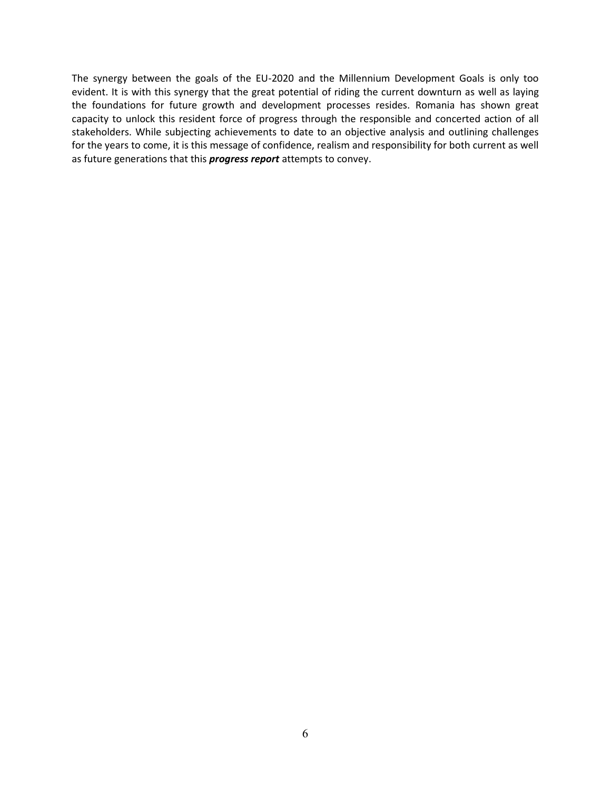The synergy between the goals of the EU-2020 and the Millennium Development Goals is only too evident. It is with this synergy that the great potential of riding the current downturn as well as laying the foundations for future growth and development processes resides. Romania has shown great capacity to unlock this resident force of progress through the responsible and concerted action of all stakeholders. While subjecting achievements to date to an objective analysis and outlining challenges for the years to come, it is this message of confidence, realism and responsibility for both current as well as future generations that this *progress report* attempts to convey.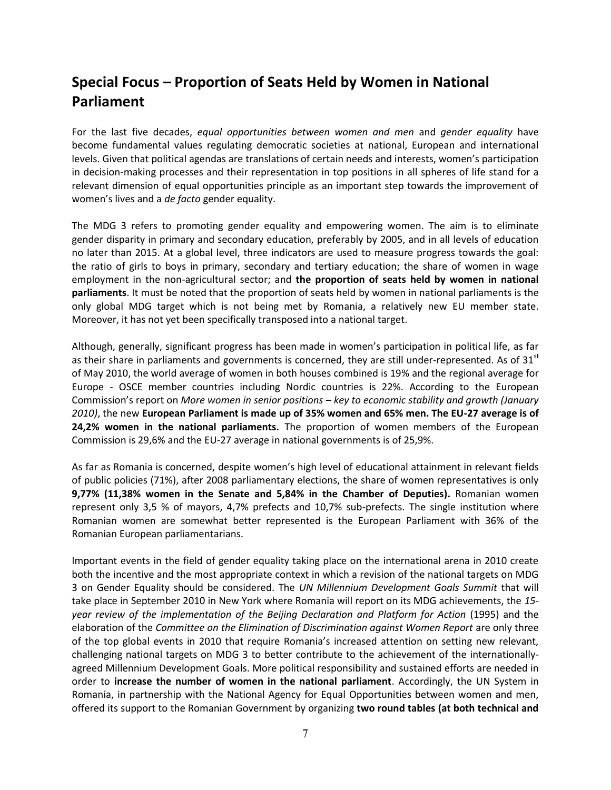# **Special Focus – Proportion of Seats Held by Women in National Parliament**

For the last five decades, *equal opportunities between women and men* and *gender equality* have become fundamental values regulating democratic societies at national, European and international levels. Given that political agendas are translations of certain needs and interests, women's participation in decision-making processes and their representation in top positions in all spheres of life stand for a relevant dimension of equal opportunities principle as an important step towards the improvement of women's lives and a *de facto* gender equality.

The MDG 3 refers to promoting gender equality and empowering women. The aim is to eliminate gender disparity in primary and secondary education, preferably by 2005, and in all levels of education no later than 2015. At a global level, three indicators are used to measure progress towards the goal: the ratio of girls to boys in primary, secondary and tertiary education; the share of women in wage employment in the non-agricultural sector; and **the proportion of seats held by women in national parliaments**. It must be noted that the proportion of seats held by women in national parliaments is the only global MDG target which is not being met by Romania, a relatively new EU member state. Moreover, it has not yet been specifically transposed into a national target.

Although, generally, significant progress has been made in women's participation in political life, as far as their share in parliaments and governments is concerned, they are still under-represented. As of  $31<sup>st</sup>$ of May 2010, the world average of women in both houses combined is 19% and the regional average for Europe - OSCE member countries including Nordic countries is 22%. According to the European Commission's report on *More women in senior positions – key to economic stability and growth (January 2010)*, the new **European Parliament is made up of 35% women and 65% men. The EU-27 average is of 24,2% women in the national parliaments.** The proportion of women members of the European Commission is 29,6% and the EU-27 average in national governments is of 25,9%.

As far as Romania is concerned, despite women's high level of educational attainment in relevant fields of public policies (71%), after 2008 parliamentary elections, the share of women representatives is only **9,77% (11,38% women in the Senate and 5,84% in the Chamber of Deputies).** Romanian women represent only 3,5 % of mayors, 4,7% prefects and 10,7% sub-prefects. The single institution where Romanian women are somewhat better represented is the European Parliament with 36% of the Romanian European parliamentarians.

Important events in the field of gender equality taking place on the international arena in 2010 create both the incentive and the most appropriate context in which a revision of the national targets on MDG 3 on Gender Equality should be considered. The *UN Millennium Development Goals Summit* that will take place in September 2010 in New York where Romania will report on its MDG achievements, the *15 year review of the implementation of the Beijing Declaration and Platform for Action* (1995) and the elaboration of the *Committee on the Elimination of Discrimination against Women Report* are only three of the top global events in 2010 that require Romania's increased attention on setting new relevant, challenging national targets on MDG 3 to better contribute to the achievement of the internationallyagreed Millennium Development Goals. More political responsibility and sustained efforts are needed in order to **increase the number of women in the national parliament**. Accordingly, the UN System in Romania, in partnership with the National Agency for Equal Opportunities between women and men, offered its support to the Romanian Government by organizing **two round tables (at both technical and**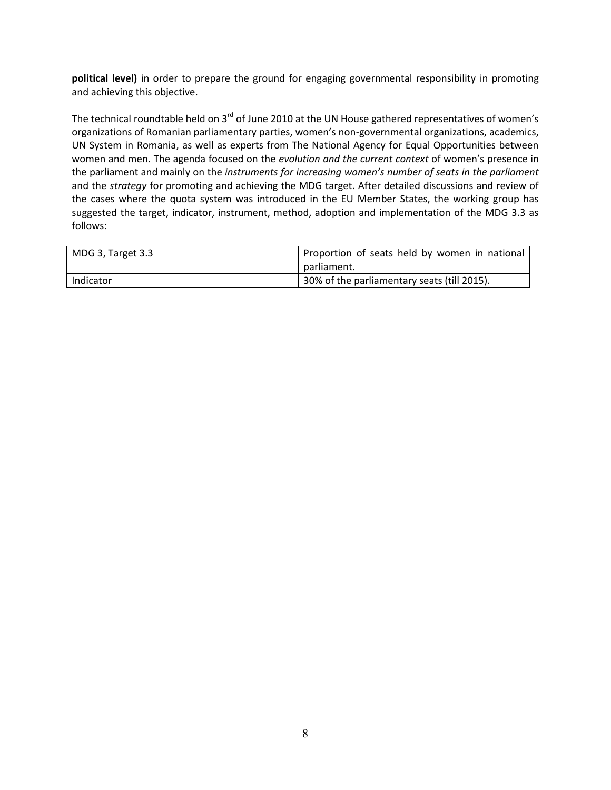**political level)** in order to prepare the ground for engaging governmental responsibility in promoting and achieving this objective.

The technical roundtable held on 3<sup>rd</sup> of June 2010 at the UN House gathered representatives of women's organizations of Romanian parliamentary parties, women's non-governmental organizations, academics, UN System in Romania, as well as experts from The National Agency for Equal Opportunities between women and men. The agenda focused on the *evolution and the current context* of women's presence in the parliament and mainly on the *instruments for increasing women's number of seats in the parliament* and the *strategy* for promoting and achieving the MDG target. After detailed discussions and review of the cases where the quota system was introduced in the EU Member States, the working group has suggested the target, indicator, instrument, method, adoption and implementation of the MDG 3.3 as follows:

| MDG 3, Target 3.3 | Proportion of seats held by women in national |
|-------------------|-----------------------------------------------|
|                   | parliament.                                   |
| Indicator         | 30% of the parliamentary seats (till 2015).   |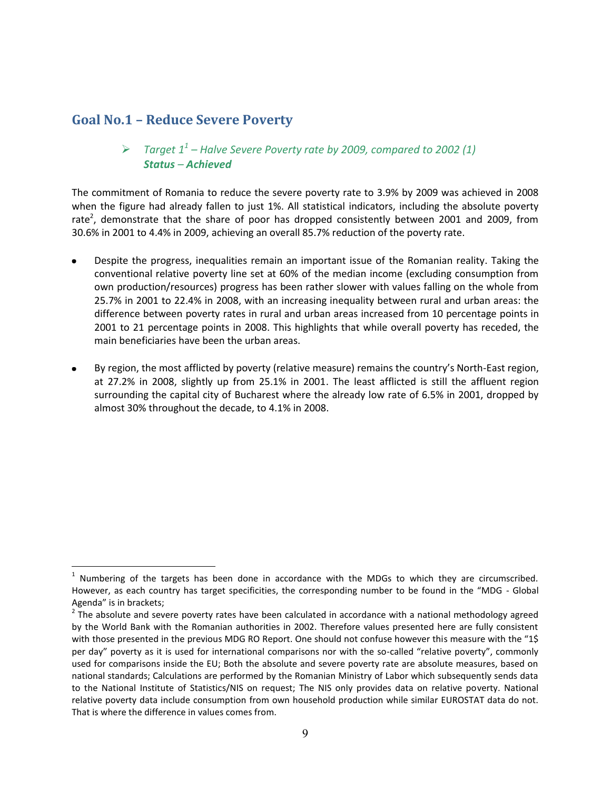# **Goal No.1 – Reduce Severe Poverty**

 $\overline{a}$ 

# *Target 11 – Halve Severe Poverty rate by 2009, compared to 2002 (1) Status – Achieved*

The commitment of Romania to reduce the severe poverty rate to 3.9% by 2009 was achieved in 2008 when the figure had already fallen to just 1%. All statistical indicators, including the absolute poverty rate<sup>2</sup>, demonstrate that the share of poor has dropped consistently between 2001 and 2009, from 30.6% in 2001 to 4.4% in 2009, achieving an overall 85.7% reduction of the poverty rate.

- Despite the progress, inequalities remain an important issue of the Romanian reality. Taking the conventional relative poverty line set at 60% of the median income (excluding consumption from own production/resources) progress has been rather slower with values falling on the whole from 25.7% in 2001 to 22.4% in 2008, with an increasing inequality between rural and urban areas: the difference between poverty rates in rural and urban areas increased from 10 percentage points in 2001 to 21 percentage points in 2008. This highlights that while overall poverty has receded, the main beneficiaries have been the urban areas.
- By region, the most afflicted by poverty (relative measure) remains the country's North-East region,  $\bullet$ at 27.2% in 2008, slightly up from 25.1% in 2001. The least afflicted is still the affluent region surrounding the capital city of Bucharest where the already low rate of 6.5% in 2001, dropped by almost 30% throughout the decade, to 4.1% in 2008.

 $<sup>1</sup>$  Numbering of the targets has been done in accordance with the MDGs to which they are circumscribed.</sup> However, as each country has target specificities, the corresponding number to be found in the "MDG - Global

Agenda" is in brackets;<br><sup>2</sup> The absolute and severe poverty rates have been calculated in accordance with a national methodology agreed by the World Bank with the Romanian authorities in 2002. Therefore values presented here are fully consistent with those presented in the previous MDG RO Report. One should not confuse however this measure with the "1\$ per day" poverty as it is used for international comparisons nor with the so-called "relative poverty", commonly used for comparisons inside the EU; Both the absolute and severe poverty rate are absolute measures, based on national standards; Calculations are performed by the Romanian Ministry of Labor which subsequently sends data to the National Institute of Statistics/NIS on request; The NIS only provides data on relative poverty. National relative poverty data include consumption from own household production while similar EUROSTAT data do not. That is where the difference in values comes from.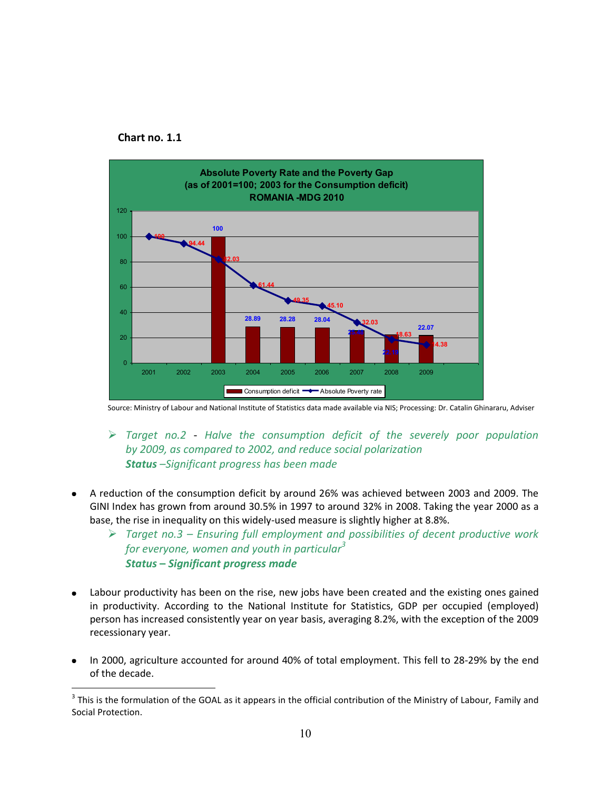



Source: Ministry of Labour and National Institute of Statistics data made available via NIS; Processing: Dr. Catalin Ghinararu, Adviser

- *Target no.2 Halve the consumption deficit of the severely poor population by 2009, as compared to 2002, and reduce social polarization Status –Significant progress has been made*
- A reduction of the consumption deficit by around 26% was achieved between 2003 and 2009. The GINI Index has grown from around 30.5% in 1997 to around 32% in 2008. Taking the year 2000 as a base, the rise in inequality on this widely-used measure is slightly higher at 8.8%.
	- *Target no.3 – Ensuring full employment and possibilities of decent productive work for everyone, women and youth in particular<sup>3</sup> Status* **–** *Significant progress made*
- Labour productivity has been on the rise, new jobs have been created and the existing ones gained in productivity. According to the National Institute for Statistics, GDP per occupied (employed) person has increased consistently year on year basis, averaging 8.2%, with the exception of the 2009 recessionary year.
- In 2000, agriculture accounted for around 40% of total employment. This fell to 28-29% by the end of the decade.

 $\overline{a}$  $3$  This is the formulation of the GOAL as it appears in the official contribution of the Ministry of Labour, Family and Social Protection.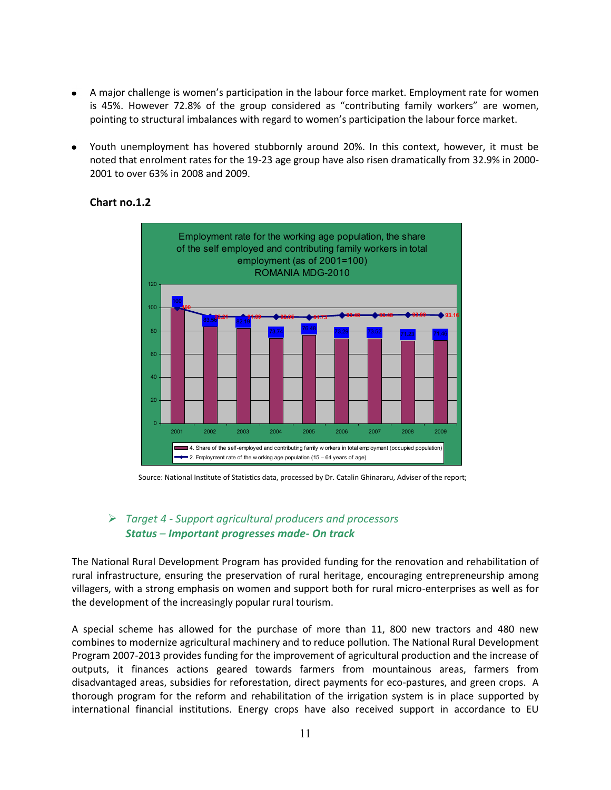- A major challenge is women's participation in the labour force market. Employment rate for women is 45%. However 72.8% of the group considered as "contributing family workers" are women, pointing to structural imbalances with regard to women's participation the labour force market.
- Youth unemployment has hovered stubbornly around 20%. In this context, however, it must be noted that enrolment rates for the 19-23 age group have also risen dramatically from 32.9% in 2000- 2001 to over 63% in 2008 and 2009.



### **Chart no.1.2**

### *Target 4 - Support agricultural producers and processors Status – Important progresses made- On track*

The National Rural Development Program has provided funding for the renovation and rehabilitation of rural infrastructure, ensuring the preservation of rural heritage, encouraging entrepreneurship among villagers, with a strong emphasis on women and support both for rural micro-enterprises as well as for the development of the increasingly popular rural tourism.

A special scheme has allowed for the purchase of more than 11, 800 new tractors and 480 new combines to modernize agricultural machinery and to reduce pollution. The National Rural Development Program 2007-2013 provides funding for the improvement of agricultural production and the increase of outputs, it finances actions geared towards farmers from mountainous areas, farmers from disadvantaged areas, subsidies for reforestation, direct payments for eco-pastures, and green crops. A thorough program for the reform and rehabilitation of the irrigation system is in place supported by international financial institutions. Energy crops have also received support in accordance to EU

Source: National Institute of Statistics data, processed by Dr. Catalin Ghinararu, Adviser of the report;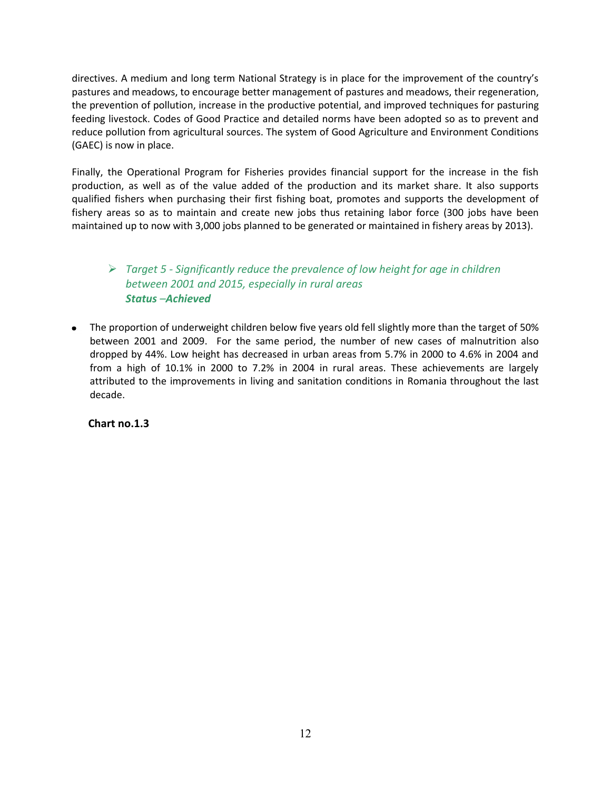directives. A medium and long term National Strategy is in place for the improvement of the country's pastures and meadows, to encourage better management of pastures and meadows, their regeneration, the prevention of pollution, increase in the productive potential, and improved techniques for pasturing feeding livestock. Codes of Good Practice and detailed norms have been adopted so as to prevent and reduce pollution from agricultural sources. The system of Good Agriculture and Environment Conditions (GAEC) is now in place.

Finally, the Operational Program for Fisheries provides financial support for the increase in the fish production, as well as of the value added of the production and its market share. It also supports qualified fishers when purchasing their first fishing boat, promotes and supports the development of fishery areas so as to maintain and create new jobs thus retaining labor force (300 jobs have been maintained up to now with 3,000 jobs planned to be generated or maintained in fishery areas by 2013).

# *Target 5 - Significantly reduce the prevalence of low height for age in children between 2001 and 2015, especially in rural areas Status –Achieved*

The proportion of underweight children below five years old fell slightly more than the target of 50% between 2001 and 2009. For the same period, the number of new cases of malnutrition also dropped by 44%. Low height has decreased in urban areas from 5.7% in 2000 to 4.6% in 2004 and from a high of 10.1% in 2000 to 7.2% in 2004 in rural areas. These achievements are largely attributed to the improvements in living and sanitation conditions in Romania throughout the last decade.

 **Chart no.1.3**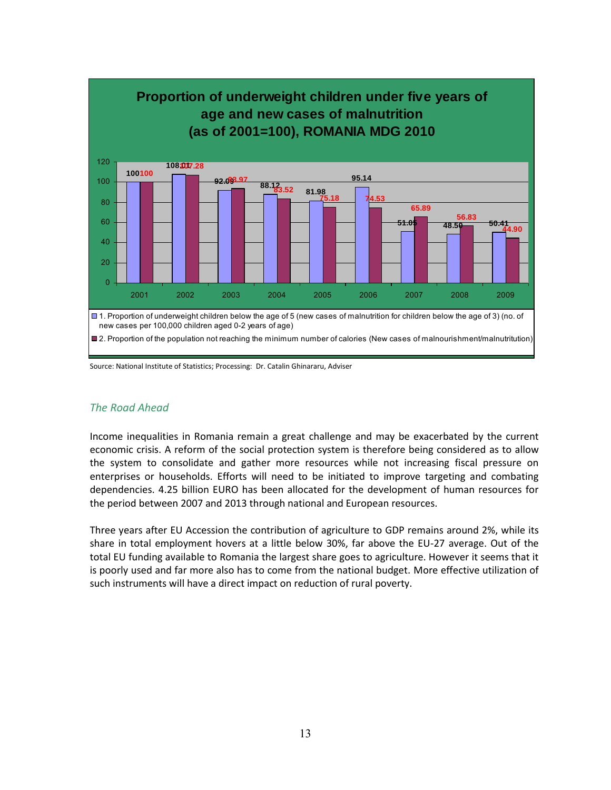

Source: National Institute of Statistics; Processing: Dr. Catalin Ghinararu, Adviser

#### *The Road Ahead*

Income inequalities in Romania remain a great challenge and may be exacerbated by the current economic crisis. A reform of the social protection system is therefore being considered as to allow the system to consolidate and gather more resources while not increasing fiscal pressure on enterprises or households. Efforts will need to be initiated to improve targeting and combating dependencies. 4.25 billion EURO has been allocated for the development of human resources for the period between 2007 and 2013 through national and European resources.

Three years after EU Accession the contribution of agriculture to GDP remains around 2%, while its share in total employment hovers at a little below 30%, far above the EU-27 average. Out of the total EU funding available to Romania the largest share goes to agriculture. However it seems that it is poorly used and far more also has to come from the national budget. More effective utilization of such instruments will have a direct impact on reduction of rural poverty.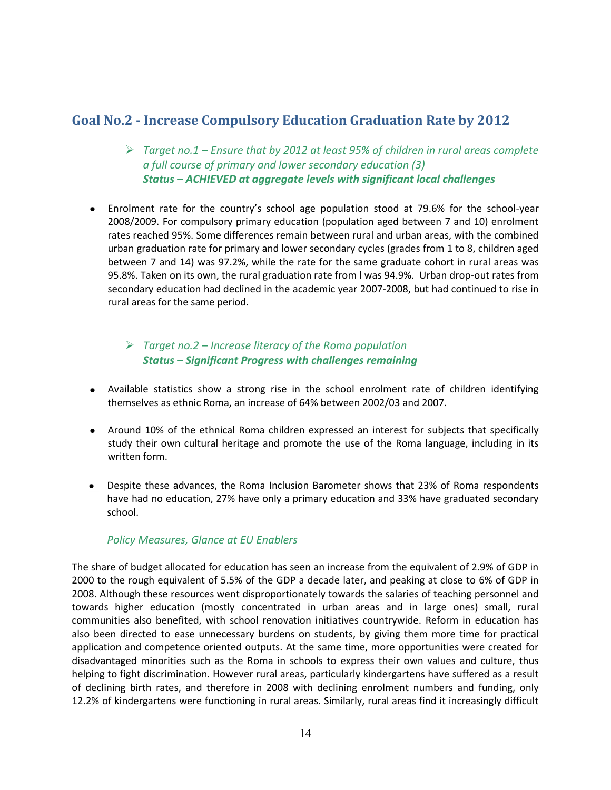# **Goal No.2 - Increase Compulsory Education Graduation Rate by 2012**

- *Target no.1 – Ensure that by 2012 at least 95% of children in rural areas complete a full course of primary and lower secondary education (3) Status – ACHIEVED at aggregate levels with significant local challenges*
- Enrolment rate for the country's school age population stood at 79.6% for the school-year 2008/2009. For compulsory primary education (population aged between 7 and 10) enrolment rates reached 95%. Some differences remain between rural and urban areas, with the combined urban graduation rate for primary and lower secondary cycles (grades from 1 to 8, children aged between 7 and 14) was 97.2%, while the rate for the same graduate cohort in rural areas was 95.8%. Taken on its own, the rural graduation rate from l was 94.9%. Urban drop-out rates from secondary education had declined in the academic year 2007-2008, but had continued to rise in rural areas for the same period.

# *Target no.2 – Increase literacy of the Roma population Status – Significant Progress with challenges remaining*

- Available statistics show a strong rise in the school enrolment rate of children identifying themselves as ethnic Roma, an increase of 64% between 2002/03 and 2007.
- Around 10% of the ethnical Roma children expressed an interest for subjects that specifically study their own cultural heritage and promote the use of the Roma language, including in its written form.
- Despite these advances, the Roma Inclusion Barometer shows that 23% of Roma respondents have had no education, 27% have only a primary education and 33% have graduated secondary school.

### *Policy Measures, Glance at EU Enablers*

The share of budget allocated for education has seen an increase from the equivalent of 2.9% of GDP in 2000 to the rough equivalent of 5.5% of the GDP a decade later, and peaking at close to 6% of GDP in 2008. Although these resources went disproportionately towards the salaries of teaching personnel and towards higher education (mostly concentrated in urban areas and in large ones) small, rural communities also benefited, with school renovation initiatives countrywide. Reform in education has also been directed to ease unnecessary burdens on students, by giving them more time for practical application and competence oriented outputs. At the same time, more opportunities were created for disadvantaged minorities such as the Roma in schools to express their own values and culture, thus helping to fight discrimination. However rural areas, particularly kindergartens have suffered as a result of declining birth rates, and therefore in 2008 with declining enrolment numbers and funding, only 12.2% of kindergartens were functioning in rural areas. Similarly, rural areas find it increasingly difficult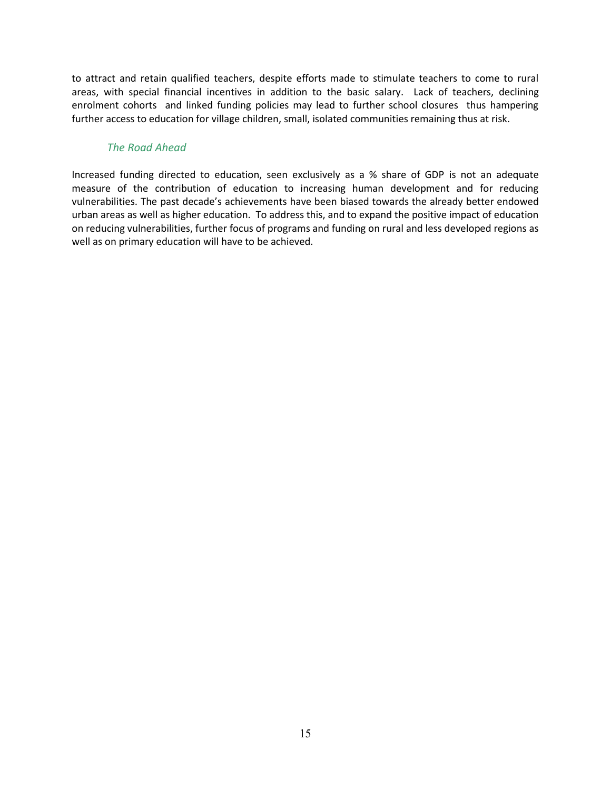to attract and retain qualified teachers, despite efforts made to stimulate teachers to come to rural areas, with special financial incentives in addition to the basic salary. Lack of teachers, declining enrolment cohorts and linked funding policies may lead to further school closures thus hampering further access to education for village children, small, isolated communities remaining thus at risk.

#### *The Road Ahead*

Increased funding directed to education, seen exclusively as a % share of GDP is not an adequate measure of the contribution of education to increasing human development and for reducing vulnerabilities. The past decade's achievements have been biased towards the already better endowed urban areas as well as higher education. To address this, and to expand the positive impact of education on reducing vulnerabilities, further focus of programs and funding on rural and less developed regions as well as on primary education will have to be achieved.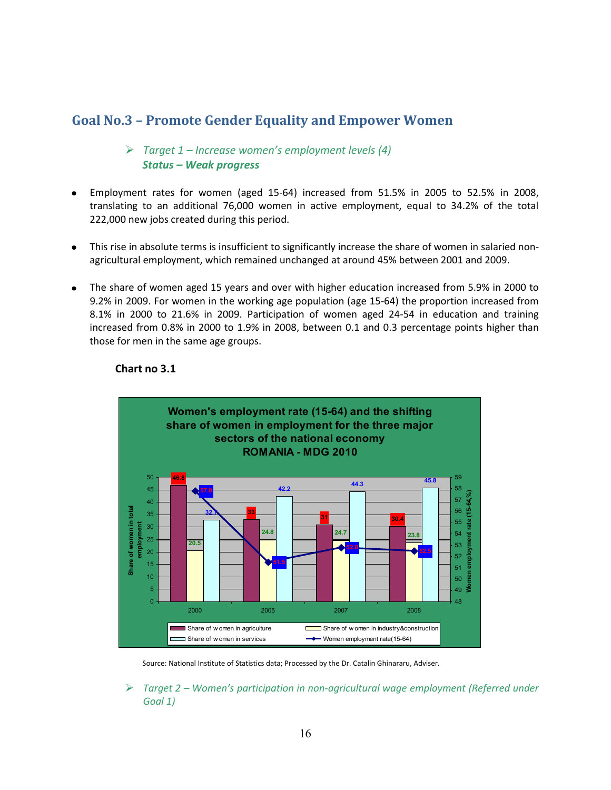# **Goal No.3 – Promote Gender Equality and Empower Women**

### *Target 1 – Increase women's employment levels (4) Status – Weak progress*

- Employment rates for women (aged 15-64) increased from 51.5% in 2005 to 52.5% in 2008, translating to an additional 76,000 women in active employment, equal to 34.2% of the total 222,000 new jobs created during this period.
- This rise in absolute terms is insufficient to significantly increase the share of women in salaried nonagricultural employment, which remained unchanged at around 45% between 2001 and 2009.
- The share of women aged 15 years and over with higher education increased from 5.9% in 2000 to  $\bullet$ 9.2% in 2009. For women in the working age population (age 15-64) the proportion increased from 8.1% in 2000 to 21.6% in 2009. Participation of women aged 24-54 in education and training increased from 0.8% in 2000 to 1.9% in 2008, between 0.1 and 0.3 percentage points higher than those for men in the same age groups.



#### **Chart no 3.1**

Source: National Institute of Statistics data; Processed by the Dr. Catalin Ghinararu, Adviser.

 *Target 2 – Women's participation in non-agricultural wage employment (Referred under Goal 1)*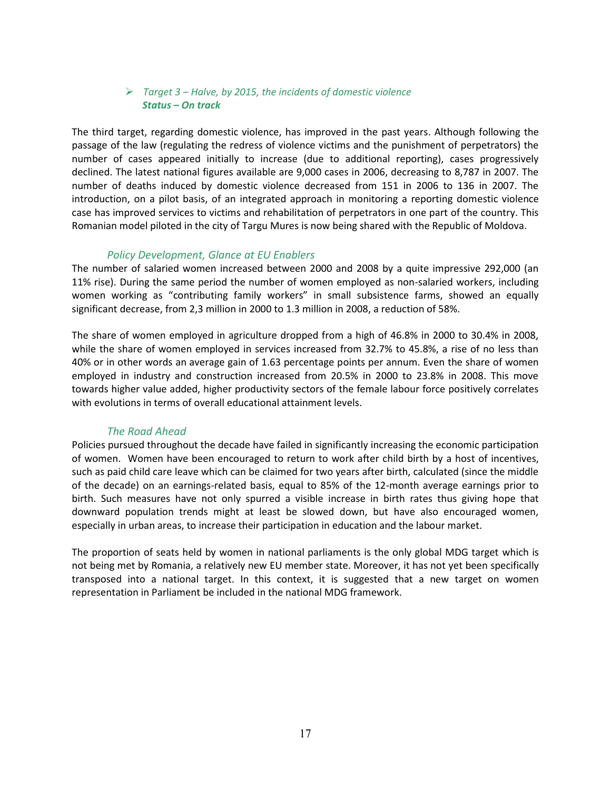#### *Target 3 – Halve, by 2015, the incidents of domestic violence Status – On track*

The third target, regarding domestic violence, has improved in the past years. Although following the passage of the law (regulating the redress of violence victims and the punishment of perpetrators) the number of cases appeared initially to increase (due to additional reporting), cases progressively declined. The latest national figures available are 9,000 cases in 2006, decreasing to 8,787 in 2007. The number of deaths induced by domestic violence decreased from 151 in 2006 to 136 in 2007. The introduction, on a pilot basis, of an integrated approach in monitoring a reporting domestic violence case has improved services to victims and rehabilitation of perpetrators in one part of the country. This Romanian model piloted in the city of Targu Mures is now being shared with the Republic of Moldova.

#### *Policy Development, Glance at EU Enablers*

The number of salaried women increased between 2000 and 2008 by a quite impressive 292,000 (an 11% rise). During the same period the number of women employed as non-salaried workers, including women working as "contributing family workers" in small subsistence farms, showed an equally significant decrease, from 2,3 million in 2000 to 1.3 million in 2008, a reduction of 58%.

The share of women employed in agriculture dropped from a high of 46.8% in 2000 to 30.4% in 2008, while the share of women employed in services increased from 32.7% to 45.8%, a rise of no less than 40% or in other words an average gain of 1.63 percentage points per annum. Even the share of women employed in industry and construction increased from 20.5% in 2000 to 23.8% in 2008. This move towards higher value added, higher productivity sectors of the female labour force positively correlates with evolutions in terms of overall educational attainment levels.

#### *The Road Ahead*

Policies pursued throughout the decade have failed in significantly increasing the economic participation of women. Women have been encouraged to return to work after child birth by a host of incentives, such as paid child care leave which can be claimed for two years after birth, calculated (since the middle of the decade) on an earnings-related basis, equal to 85% of the 12-month average earnings prior to birth. Such measures have not only spurred a visible increase in birth rates thus giving hope that downward population trends might at least be slowed down, but have also encouraged women, especially in urban areas, to increase their participation in education and the labour market.

The proportion of seats held by women in national parliaments is the only global MDG target which is not being met by Romania, a relatively new EU member state. Moreover, it has not yet been specifically transposed into a national target. In this context, it is suggested that a new target on women representation in Parliament be included in the national MDG framework.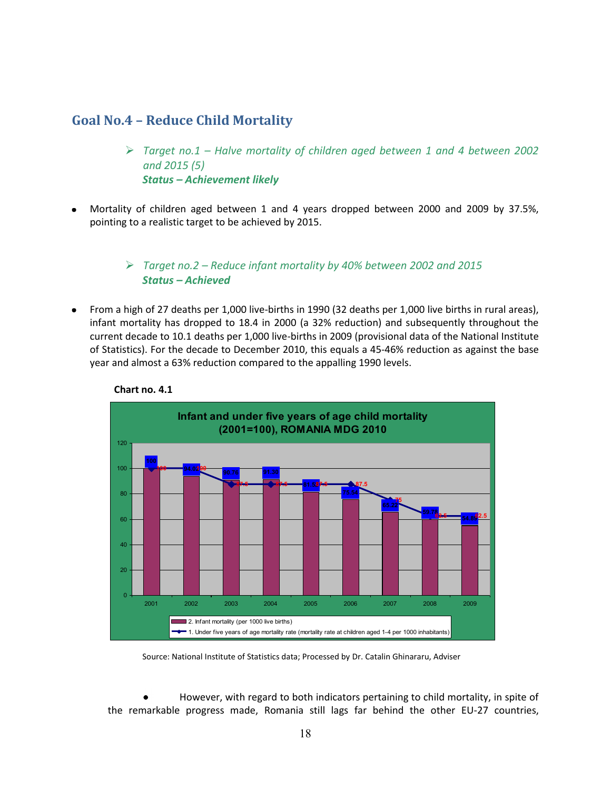# **Goal No.4 – Reduce Child Mortality**

- *Target no.1 – Halve mortality of children aged between 1 and 4 between 2002 and 2015 (5) Status – Achievement likely*
- Mortality of children aged between 1 and 4 years dropped between 2000 and 2009 by 37.5%, pointing to a realistic target to be achieved by 2015.

## *Target no.2 – Reduce infant mortality by 40% between 2002 and 2015 Status – Achieved*

From a high of 27 deaths per 1,000 live-births in 1990 (32 deaths per 1,000 live births in rural areas),  $\bullet$ infant mortality has dropped to 18.4 in 2000 (a 32% reduction) and subsequently throughout the current decade to 10.1 deaths per 1,000 live-births in 2009 (provisional data of the National Institute of Statistics). For the decade to December 2010, this equals a 45-46% reduction as against the base year and almost a 63% reduction compared to the appalling 1990 levels.





Source: National Institute of Statistics data; Processed by Dr. Catalin Ghinararu, Adviser

However, with regard to both indicators pertaining to child mortality, in spite of the remarkable progress made, Romania still lags far behind the other EU-27 countries,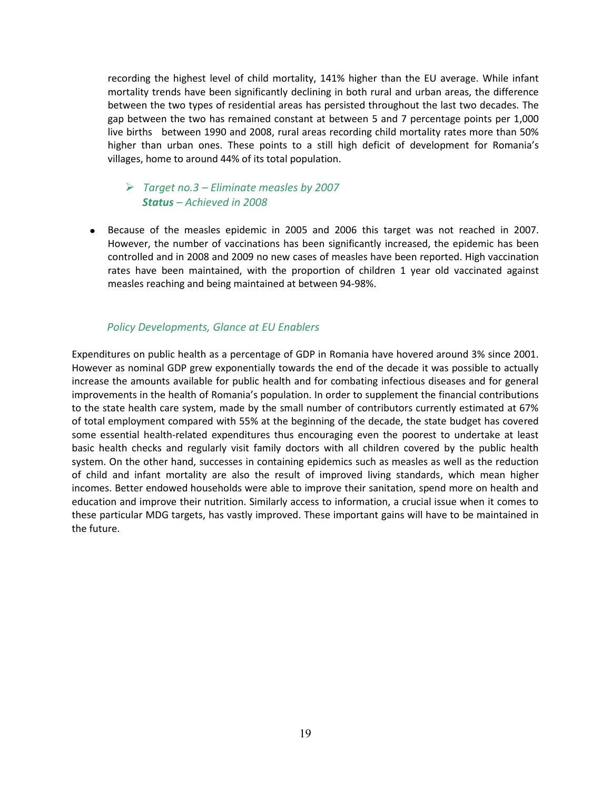recording the highest level of child mortality, 141% higher than the EU average. While infant mortality trends have been significantly declining in both rural and urban areas, the difference between the two types of residential areas has persisted throughout the last two decades. The gap between the two has remained constant at between 5 and 7 percentage points per 1,000 live births between 1990 and 2008, rural areas recording child mortality rates more than 50% higher than urban ones. These points to a still high deficit of development for Romania's villages, home to around 44% of its total population.

### *Target no.3 – Eliminate measles by 2007 Status – Achieved in 2008*

Because of the measles epidemic in 2005 and 2006 this target was not reached in 2007. However, the number of vaccinations has been significantly increased, the epidemic has been controlled and in 2008 and 2009 no new cases of measles have been reported. High vaccination rates have been maintained, with the proportion of children 1 year old vaccinated against measles reaching and being maintained at between 94-98%.

### *Policy Developments, Glance at EU Enablers*

Expenditures on public health as a percentage of GDP in Romania have hovered around 3% since 2001. However as nominal GDP grew exponentially towards the end of the decade it was possible to actually increase the amounts available for public health and for combating infectious diseases and for general improvements in the health of Romania's population. In order to supplement the financial contributions to the state health care system, made by the small number of contributors currently estimated at 67% of total employment compared with 55% at the beginning of the decade, the state budget has covered some essential health-related expenditures thus encouraging even the poorest to undertake at least basic health checks and regularly visit family doctors with all children covered by the public health system. On the other hand, successes in containing epidemics such as measles as well as the reduction of child and infant mortality are also the result of improved living standards, which mean higher incomes. Better endowed households were able to improve their sanitation, spend more on health and education and improve their nutrition. Similarly access to information, a crucial issue when it comes to these particular MDG targets, has vastly improved. These important gains will have to be maintained in the future.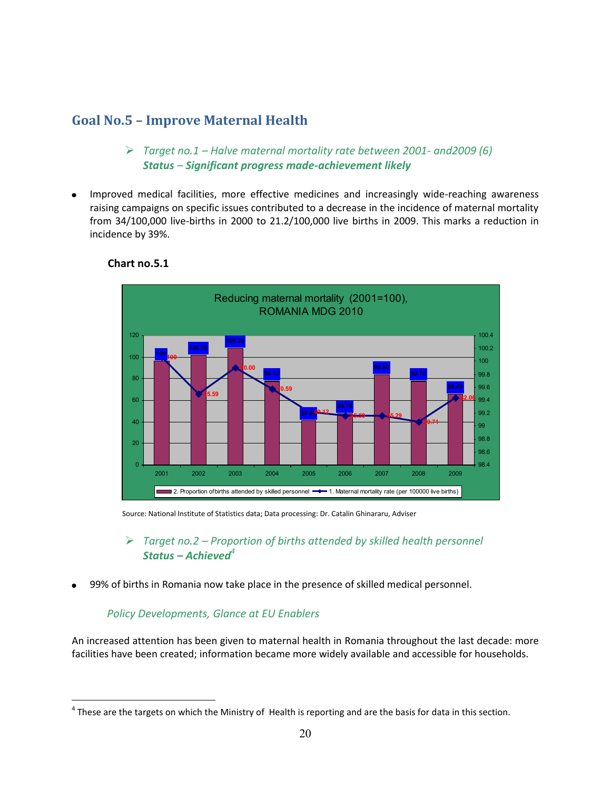# **Goal No.5 – Improve Maternal Health**

- *Target no.1 – Halve maternal mortality rate between 2001- and2009 (6) Status – Significant progress made-achievement likely*
- Improved medical facilities, more effective medicines and increasingly wide-reaching awareness raising campaigns on specific issues contributed to a decrease in the incidence of maternal mortality from 34/100,000 live-births in 2000 to 21.2/100,000 live births in 2009. This marks a reduction in incidence by 39%.



#### **Chart no.5.1**

 $\overline{a}$ 

Source: National Institute of Statistics data; Data processing: Dr. Catalin Ghinararu, Adviser

## *Target no.2 – Proportion of births attended by skilled health personnel Status – Achieved<sup>4</sup>*

99% of births in Romania now take place in the presence of skilled medical personnel.

#### *Policy Developments, Glance at EU Enablers*

An increased attention has been given to maternal health in Romania throughout the last decade: more facilities have been created; information became more widely available and accessible for households.

 $^4$  These are the targets on which the Ministry of Health is reporting and are the basis for data in this section.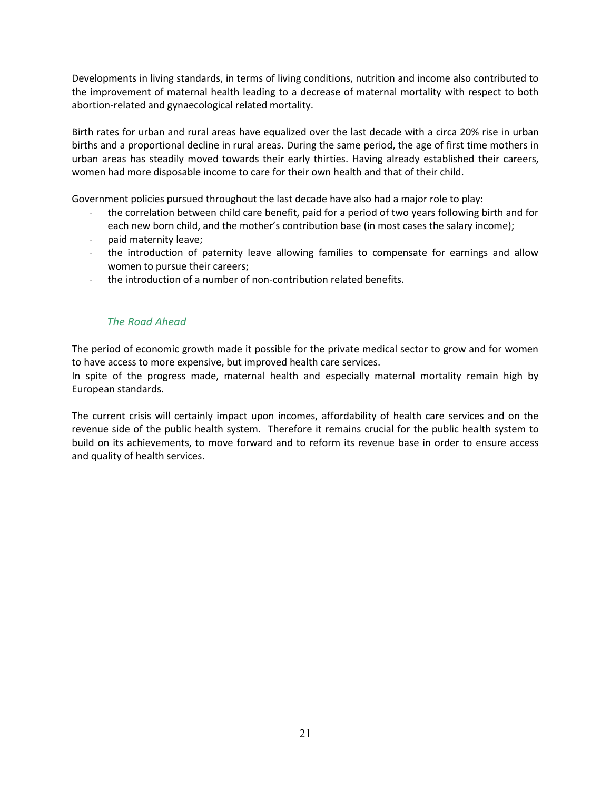Developments in living standards, in terms of living conditions, nutrition and income also contributed to the improvement of maternal health leading to a decrease of maternal mortality with respect to both abortion-related and gynaecological related mortality.

Birth rates for urban and rural areas have equalized over the last decade with a circa 20% rise in urban births and a proportional decline in rural areas. During the same period, the age of first time mothers in urban areas has steadily moved towards their early thirties. Having already established their careers, women had more disposable income to care for their own health and that of their child.

Government policies pursued throughout the last decade have also had a major role to play:

- the correlation between child care benefit, paid for a period of two years following birth and for each new born child, and the mother's contribution base (in most cases the salary income);
- paid maternity leave;
- the introduction of paternity leave allowing families to compensate for earnings and allow women to pursue their careers;
- the introduction of a number of non-contribution related benefits.

### *The Road Ahead*

The period of economic growth made it possible for the private medical sector to grow and for women to have access to more expensive, but improved health care services.

In spite of the progress made, maternal health and especially maternal mortality remain high by European standards.

The current crisis will certainly impact upon incomes, affordability of health care services and on the revenue side of the public health system. Therefore it remains crucial for the public health system to build on its achievements, to move forward and to reform its revenue base in order to ensure access and quality of health services.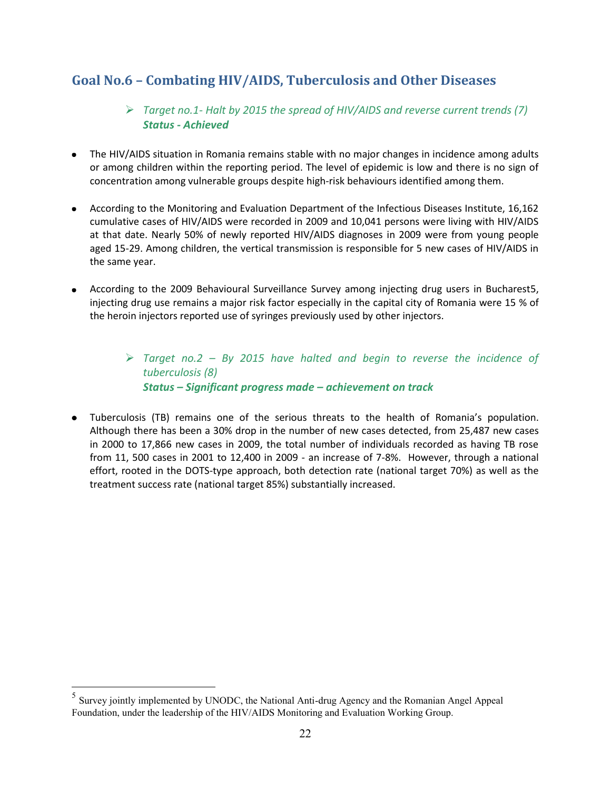# **Goal No.6 – Combating HIV/AIDS, Tuberculosis and Other Diseases**

## *Target no.1- Halt by 2015 the spread of HIV/AIDS and reverse current trends (7) Status - Achieved*

- The HIV/AIDS situation in Romania remains stable with no major changes in incidence among adults or among children within the reporting period. The level of epidemic is low and there is no sign of concentration among vulnerable groups despite high-risk behaviours identified among them.
- According to the Monitoring and Evaluation Department of the Infectious Diseases Institute, 16,162 cumulative cases of HIV/AIDS were recorded in 2009 and 10,041 persons were living with HIV/AIDS at that date. Nearly 50% of newly reported HIV/AIDS diagnoses in 2009 were from young people aged 15-29. Among children, the vertical transmission is responsible for 5 new cases of HIV/AIDS in the same year.
- According to the 2009 Behavioural Surveillance Survey among injecting drug users in Bucharest5,  $\bullet$ injecting drug use remains a major risk factor especially in the capital city of Romania were 15 % of the heroin injectors reported use of syringes previously used by other injectors.

 *Target no.2 – By 2015 have halted and begin to reverse the incidence of tuberculosis (8) Status – Significant progress made – achievement on track*

Tuberculosis (TB) remains one of the serious threats to the health of Romania's population. Although there has been a 30% drop in the number of new cases detected, from 25,487 new cases in 2000 to 17,866 new cases in 2009, the total number of individuals recorded as having TB rose from 11, 500 cases in 2001 to 12,400 in 2009 - an increase of 7-8%. However, through a national effort, rooted in the DOTS-type approach, both detection rate (national target 70%) as well as the treatment success rate (national target 85%) substantially increased.

 $\overline{a}$ 

 $<sup>5</sup>$  Survey jointly implemented by UNODC, the National Anti-drug Agency and the Romanian Angel Appeal</sup> Foundation, under the leadership of the HIV/AIDS Monitoring and Evaluation Working Group.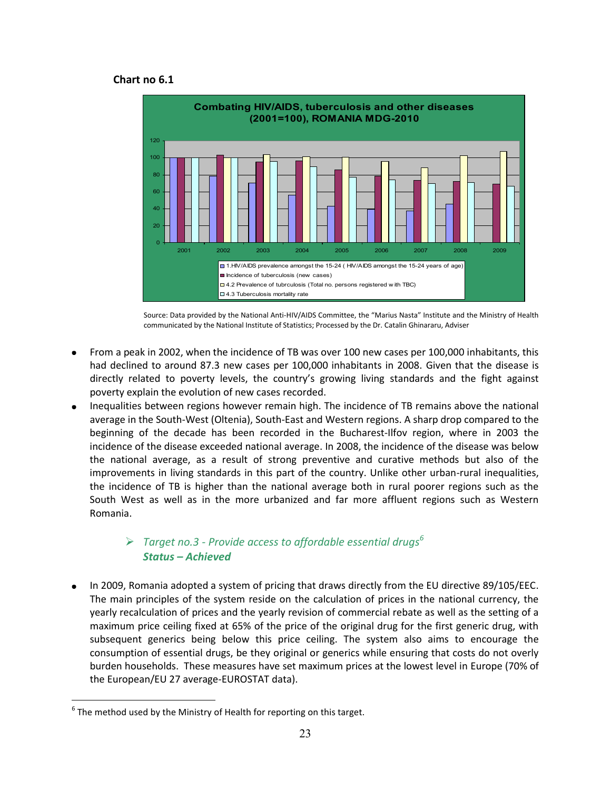#### **Chart no 6.1**



Source: Data provided by the National Anti-HIV/AIDS Committee, the "Marius Nasta" Institute and the Ministry of Health communicated by the National Institute of Statistics; Processed by the Dr. Catalin Ghinararu, Adviser

- From a peak in 2002, when the incidence of TB was over 100 new cases per 100,000 inhabitants, this had declined to around 87.3 new cases per 100,000 inhabitants in 2008. Given that the disease is directly related to poverty levels, the country's growing living standards and the fight against poverty explain the evolution of new cases recorded.
- Inequalities between regions however remain high. The incidence of TB remains above the national average in the South-West (Oltenia), South-East and Western regions. A sharp drop compared to the beginning of the decade has been recorded in the Bucharest-Ilfov region, where in 2003 the incidence of the disease exceeded national average. In 2008, the incidence of the disease was below the national average, as a result of strong preventive and curative methods but also of the improvements in living standards in this part of the country. Unlike other urban-rural inequalities, the incidence of TB is higher than the national average both in rural poorer regions such as the South West as well as in the more urbanized and far more affluent regions such as Western Romania.

### *Target no.3 - Provide access to affordable essential drugs<sup>6</sup> Status – Achieved*

In 2009, Romania adopted a system of pricing that draws directly from the EU directive 89/105/EEC. The main principles of the system reside on the calculation of prices in the national currency, the yearly recalculation of prices and the yearly revision of commercial rebate as well as the setting of a maximum price ceiling fixed at 65% of the price of the original drug for the first generic drug, with subsequent generics being below this price ceiling. The system also aims to encourage the consumption of essential drugs, be they original or generics while ensuring that costs do not overly burden households. These measures have set maximum prices at the lowest level in Europe (70% of the European/EU 27 average-EUROSTAT data).

 $\overline{a}$ 

 $^6$  The method used by the Ministry of Health for reporting on this target.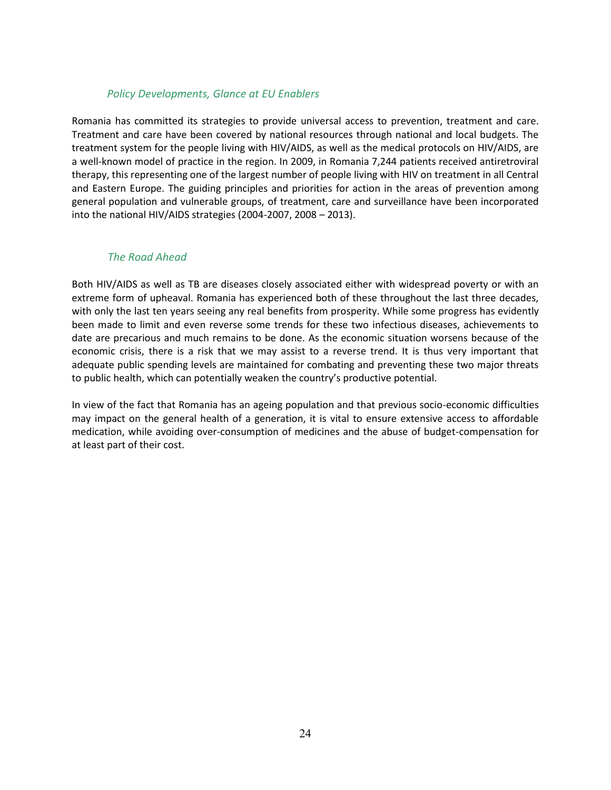#### *Policy Developments, Glance at EU Enablers*

Romania has committed its strategies to provide universal access to prevention, treatment and care. Treatment and care have been covered by national resources through national and local budgets. The treatment system for the people living with HIV/AIDS, as well as the medical protocols on HIV/AIDS, are a well-known model of practice in the region. In 2009, in Romania 7,244 patients received antiretroviral therapy, this representing one of the largest number of people living with HIV on treatment in all Central and Eastern Europe. The guiding principles and priorities for action in the areas of prevention among general population and vulnerable groups, of treatment, care and surveillance have been incorporated into the national HIV/AIDS strategies (2004-2007, 2008 – 2013).

#### *The Road Ahead*

Both HIV/AIDS as well as TB are diseases closely associated either with widespread poverty or with an extreme form of upheaval. Romania has experienced both of these throughout the last three decades, with only the last ten years seeing any real benefits from prosperity. While some progress has evidently been made to limit and even reverse some trends for these two infectious diseases, achievements to date are precarious and much remains to be done. As the economic situation worsens because of the economic crisis, there is a risk that we may assist to a reverse trend. It is thus very important that adequate public spending levels are maintained for combating and preventing these two major threats to public health, which can potentially weaken the country's productive potential.

In view of the fact that Romania has an ageing population and that previous socio-economic difficulties may impact on the general health of a generation, it is vital to ensure extensive access to affordable medication, while avoiding over-consumption of medicines and the abuse of budget-compensation for at least part of their cost.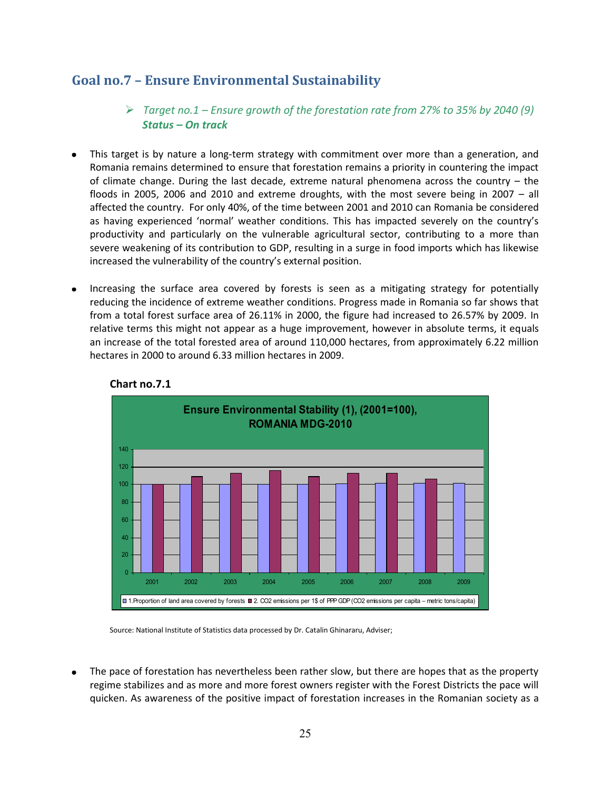# **Goal no.7 – Ensure Environmental Sustainability**

- *Target no.1 – Ensure growth of the forestation rate from 27% to 35% by 2040 (9) Status – On track*
- This target is by nature a long-term strategy with commitment over more than a generation, and Romania remains determined to ensure that forestation remains a priority in countering the impact of climate change. During the last decade, extreme natural phenomena across the country – the floods in 2005, 2006 and 2010 and extreme droughts, with the most severe being in 2007 – all affected the country. For only 40%, of the time between 2001 and 2010 can Romania be considered as having experienced 'normal' weather conditions. This has impacted severely on the country's productivity and particularly on the vulnerable agricultural sector, contributing to a more than severe weakening of its contribution to GDP, resulting in a surge in food imports which has likewise increased the vulnerability of the country's external position.
- Increasing the surface area covered by forests is seen as a mitigating strategy for potentially  $\bullet$ reducing the incidence of extreme weather conditions. Progress made in Romania so far shows that from a total forest surface area of 26.11% in 2000, the figure had increased to 26.57% by 2009. In relative terms this might not appear as a huge improvement, however in absolute terms, it equals an increase of the total forested area of around 110,000 hectares, from approximately 6.22 million hectares in 2000 to around 6.33 million hectares in 2009.



### **Chart no.7.1**

Source: National Institute of Statistics data processed by Dr. Catalin Ghinararu, Adviser;

The pace of forestation has nevertheless been rather slow, but there are hopes that as the property regime stabilizes and as more and more forest owners register with the Forest Districts the pace will quicken. As awareness of the positive impact of forestation increases in the Romanian society as a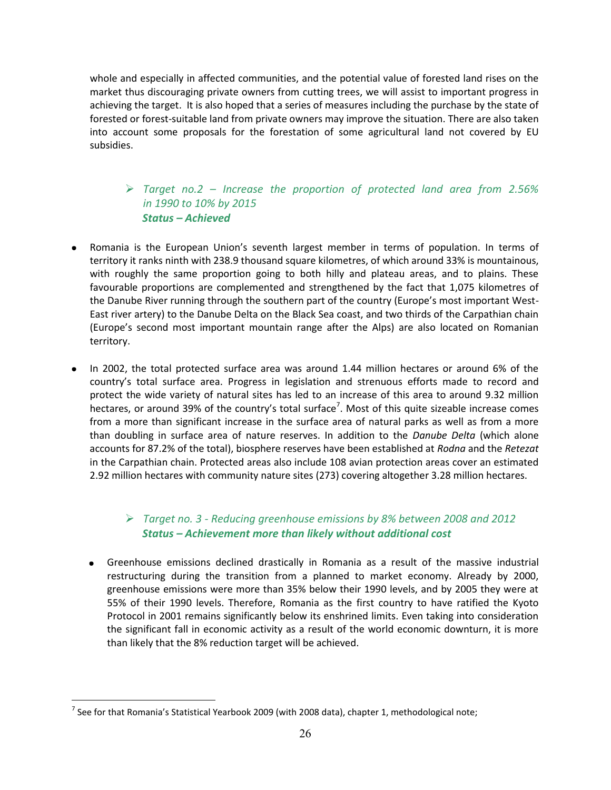whole and especially in affected communities, and the potential value of forested land rises on the market thus discouraging private owners from cutting trees, we will assist to important progress in achieving the target. It is also hoped that a series of measures including the purchase by the state of forested or forest-suitable land from private owners may improve the situation. There are also taken into account some proposals for the forestation of some agricultural land not covered by EU subsidies.

## *Target no.2 – Increase the proportion of protected land area from 2.56% in 1990 to 10% by 2015 Status – Achieved*

- Romania is the European Union's seventh largest member in terms of population. In terms of territory it ranks ninth with 238.9 thousand square kilometres, of which around 33% is mountainous, with roughly the same proportion going to both hilly and plateau areas, and to plains. These favourable proportions are complemented and strengthened by the fact that 1,075 kilometres of the Danube River running through the southern part of the country (Europe's most important West-East river artery) to the Danube Delta on the Black Sea coast, and two thirds of the Carpathian chain (Europe's second most important mountain range after the Alps) are also located on Romanian territory.
- In 2002, the total protected surface area was around 1.44 million hectares or around 6% of the country's total surface area. Progress in legislation and strenuous efforts made to record and protect the wide variety of natural sites has led to an increase of this area to around 9.32 million hectares, or around 39% of the country's total surface<sup>7</sup>. Most of this quite sizeable increase comes from a more than significant increase in the surface area of natural parks as well as from a more than doubling in surface area of nature reserves. In addition to the *Danube Delta* (which alone accounts for 87.2% of the total), biosphere reserves have been established at *Rodna* and the *Retezat* in the Carpathian chain. Protected areas also include 108 avian protection areas cover an estimated 2.92 million hectares with community nature sites (273) covering altogether 3.28 million hectares.

## *Target no. 3 - Reducing greenhouse emissions by 8% between 2008 and 2012 Status – Achievement more than likely without additional cost*

Greenhouse emissions declined drastically in Romania as a result of the massive industrial restructuring during the transition from a planned to market economy. Already by 2000, greenhouse emissions were more than 35% below their 1990 levels, and by 2005 they were at 55% of their 1990 levels. Therefore, Romania as the first country to have ratified the Kyoto Protocol in 2001 remains significantly below its enshrined limits. Even taking into consideration the significant fall in economic activity as a result of the world economic downturn, it is more than likely that the 8% reduction target will be achieved.

 $\overline{a}$ 

<sup>&</sup>lt;sup>7</sup> See for that Romania's Statistical Yearbook 2009 (with 2008 data), chapter 1, methodological note;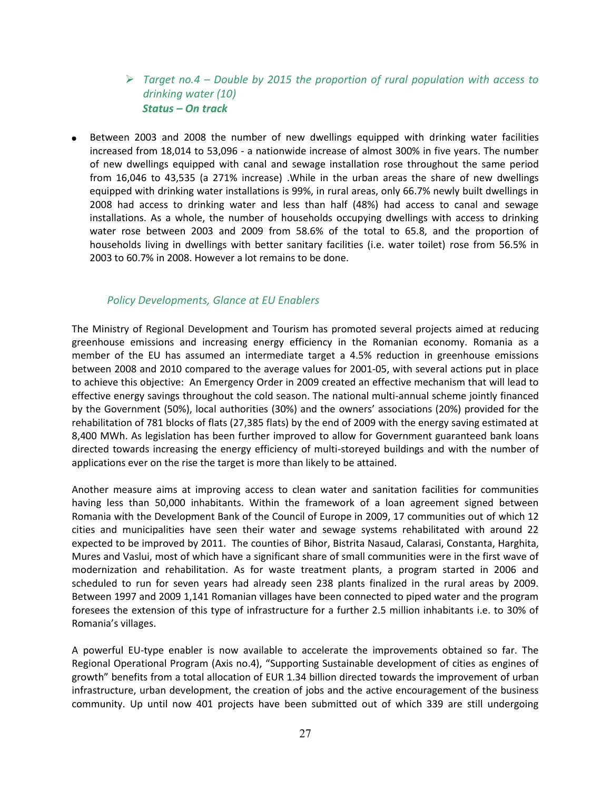## *Target no.4 – Double by 2015 the proportion of rural population with access to drinking water (10) Status – On track*

Between 2003 and 2008 the number of new dwellings equipped with drinking water facilities increased from 18,014 to 53,096 - a nationwide increase of almost 300% in five years. The number of new dwellings equipped with canal and sewage installation rose throughout the same period from 16,046 to 43,535 (a 271% increase) .While in the urban areas the share of new dwellings equipped with drinking water installations is 99%, in rural areas, only 66.7% newly built dwellings in 2008 had access to drinking water and less than half (48%) had access to canal and sewage installations. As a whole, the number of households occupying dwellings with access to drinking water rose between 2003 and 2009 from 58.6% of the total to 65.8, and the proportion of households living in dwellings with better sanitary facilities (i.e. water toilet) rose from 56.5% in 2003 to 60.7% in 2008. However a lot remains to be done.

#### *Policy Developments, Glance at EU Enablers*

The Ministry of Regional Development and Tourism has promoted several projects aimed at reducing greenhouse emissions and increasing energy efficiency in the Romanian economy. Romania as a member of the EU has assumed an intermediate target a 4.5% reduction in greenhouse emissions between 2008 and 2010 compared to the average values for 2001-05, with several actions put in place to achieve this objective: An Emergency Order in 2009 created an effective mechanism that will lead to effective energy savings throughout the cold season. The national multi-annual scheme jointly financed by the Government (50%), local authorities (30%) and the owners' associations (20%) provided for the rehabilitation of 781 blocks of flats (27,385 flats) by the end of 2009 with the energy saving estimated at 8,400 MWh. As legislation has been further improved to allow for Government guaranteed bank loans directed towards increasing the energy efficiency of multi-storeyed buildings and with the number of applications ever on the rise the target is more than likely to be attained.

Another measure aims at improving access to clean water and sanitation facilities for communities having less than 50,000 inhabitants. Within the framework of a loan agreement signed between Romania with the Development Bank of the Council of Europe in 2009, 17 communities out of which 12 cities and municipalities have seen their water and sewage systems rehabilitated with around 22 expected to be improved by 2011. The counties of Bihor, Bistrita Nasaud, Calarasi, Constanta, Harghita, Mures and Vaslui, most of which have a significant share of small communities were in the first wave of modernization and rehabilitation. As for waste treatment plants, a program started in 2006 and scheduled to run for seven years had already seen 238 plants finalized in the rural areas by 2009. Between 1997 and 2009 1,141 Romanian villages have been connected to piped water and the program foresees the extension of this type of infrastructure for a further 2.5 million inhabitants i.e. to 30% of Romania's villages.

A powerful EU-type enabler is now available to accelerate the improvements obtained so far. The Regional Operational Program (Axis no.4), "Supporting Sustainable development of cities as engines of growth" benefits from a total allocation of EUR 1.34 billion directed towards the improvement of urban infrastructure, urban development, the creation of jobs and the active encouragement of the business community. Up until now 401 projects have been submitted out of which 339 are still undergoing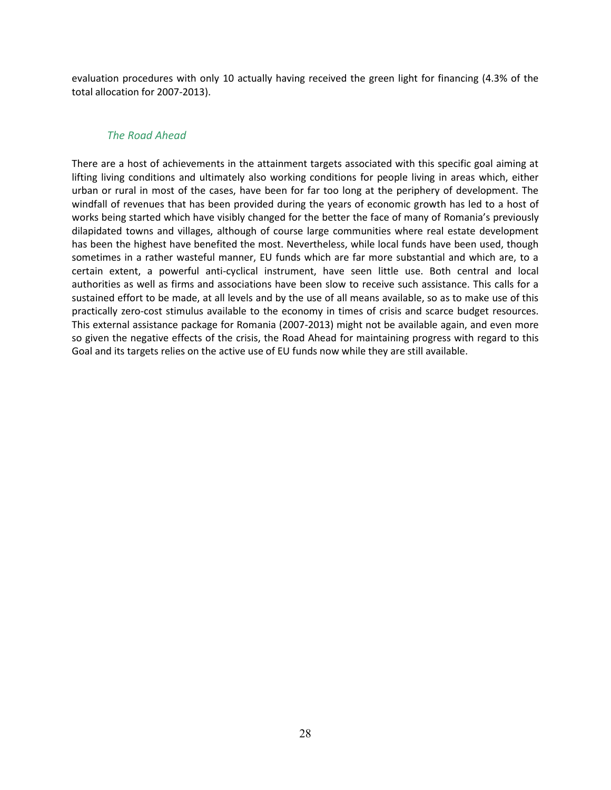evaluation procedures with only 10 actually having received the green light for financing (4.3% of the total allocation for 2007-2013).

#### *The Road Ahead*

There are a host of achievements in the attainment targets associated with this specific goal aiming at lifting living conditions and ultimately also working conditions for people living in areas which, either urban or rural in most of the cases, have been for far too long at the periphery of development. The windfall of revenues that has been provided during the years of economic growth has led to a host of works being started which have visibly changed for the better the face of many of Romania's previously dilapidated towns and villages, although of course large communities where real estate development has been the highest have benefited the most. Nevertheless, while local funds have been used, though sometimes in a rather wasteful manner, EU funds which are far more substantial and which are, to a certain extent, a powerful anti-cyclical instrument, have seen little use. Both central and local authorities as well as firms and associations have been slow to receive such assistance. This calls for a sustained effort to be made, at all levels and by the use of all means available, so as to make use of this practically zero-cost stimulus available to the economy in times of crisis and scarce budget resources. This external assistance package for Romania (2007-2013) might not be available again, and even more so given the negative effects of the crisis, the Road Ahead for maintaining progress with regard to this Goal and its targets relies on the active use of EU funds now while they are still available.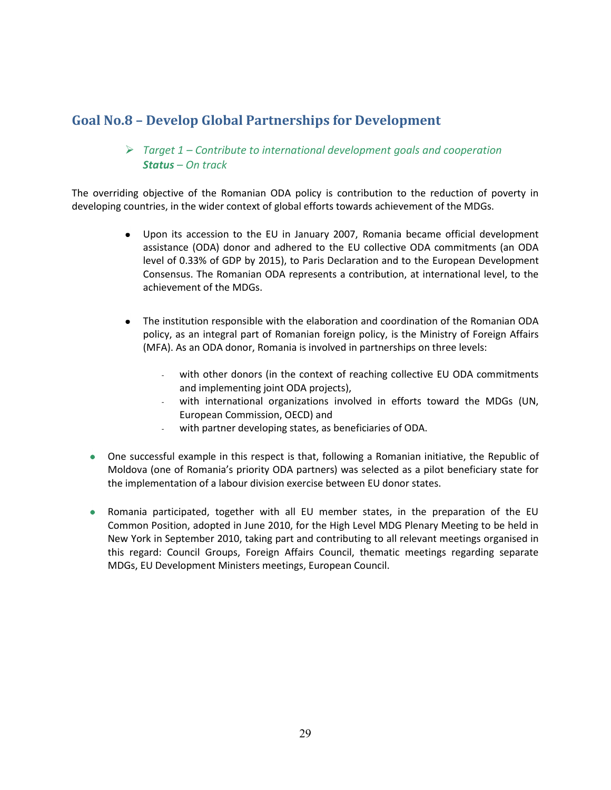# **Goal No.8 – Develop Global Partnerships for Development**

### *Target 1 – Contribute to international development goals and cooperation Status – On track*

The overriding objective of the Romanian ODA policy is contribution to the reduction of poverty in developing countries, in the wider context of global efforts towards achievement of the MDGs.

- Upon its accession to the EU in January 2007, Romania became official development assistance (ODA) donor and adhered to the EU collective ODA commitments (an ODA level of 0.33% of GDP by 2015), to Paris Declaration and to the European Development Consensus. The Romanian ODA represents a contribution, at international level, to the achievement of the MDGs.
- The institution responsible with the elaboration and coordination of the Romanian ODA policy, as an integral part of Romanian foreign policy, is the Ministry of Foreign Affairs (MFA). As an ODA donor, Romania is involved in partnerships on three levels:
	- with other donors (in the context of reaching collective EU ODA commitments and implementing joint ODA projects),
	- with international organizations involved in efforts toward the MDGs (UN, European Commission, OECD) and
	- with partner developing states, as beneficiaries of ODA.
- One successful example in this respect is that, following a Romanian initiative, the Republic of Moldova (one of Romania's priority ODA partners) was selected as a pilot beneficiary state for the implementation of a labour division exercise between EU donor states.
- Romania participated, together with all EU member states, in the preparation of the EU Common Position, adopted in June 2010, for the High Level MDG Plenary Meeting to be held in New York in September 2010, taking part and contributing to all relevant meetings organised in this regard: Council Groups, Foreign Affairs Council, thematic meetings regarding separate MDGs, EU Development Ministers meetings, European Council.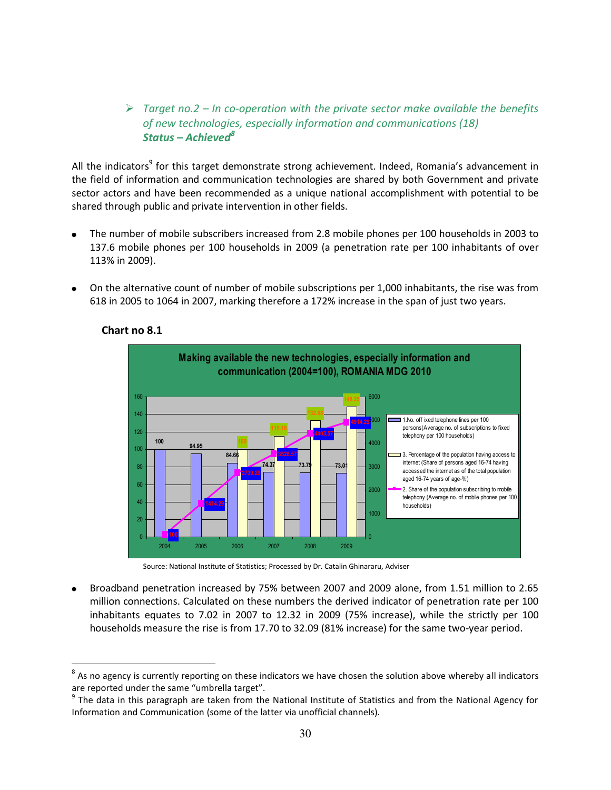*Target no.2 – In co-operation with the private sector make available the benefits of new technologies, especially information and communications (18) Status – Achieved8*

All the indicators<sup>9</sup> for this target demonstrate strong achievement. Indeed, Romania's advancement in the field of information and communication technologies are shared by both Government and private sector actors and have been recommended as a unique national accomplishment with potential to be shared through public and private intervention in other fields.

- The number of mobile subscribers increased from 2.8 mobile phones per 100 households in 2003 to 137.6 mobile phones per 100 households in 2009 (a penetration rate per 100 inhabitants of over 113% in 2009).
- On the alternative count of number of mobile subscriptions per 1,000 inhabitants, the rise was from  $\bullet$ 618 in 2005 to 1064 in 2007, marking therefore a 172% increase in the span of just two years.



#### **Chart no 8.1**

 $\overline{a}$ 

Source: National Institute of Statistics; Processed by Dr. Catalin Ghinararu, Adviser

Broadband penetration increased by 75% between 2007 and 2009 alone, from 1.51 million to 2.65 million connections. Calculated on these numbers the derived indicator of penetration rate per 100 inhabitants equates to 7.02 in 2007 to 12.32 in 2009 (75% increase), while the strictly per 100 households measure the rise is from 17.70 to 32.09 (81% increase) for the same two-year period.

 $8$  As no agency is currently reporting on these indicators we have chosen the solution above whereby all indicators are reported under the same "umbrella target".

 $9$  The data in this paragraph are taken from the National Institute of Statistics and from the National Agency for Information and Communication (some of the latter via unofficial channels).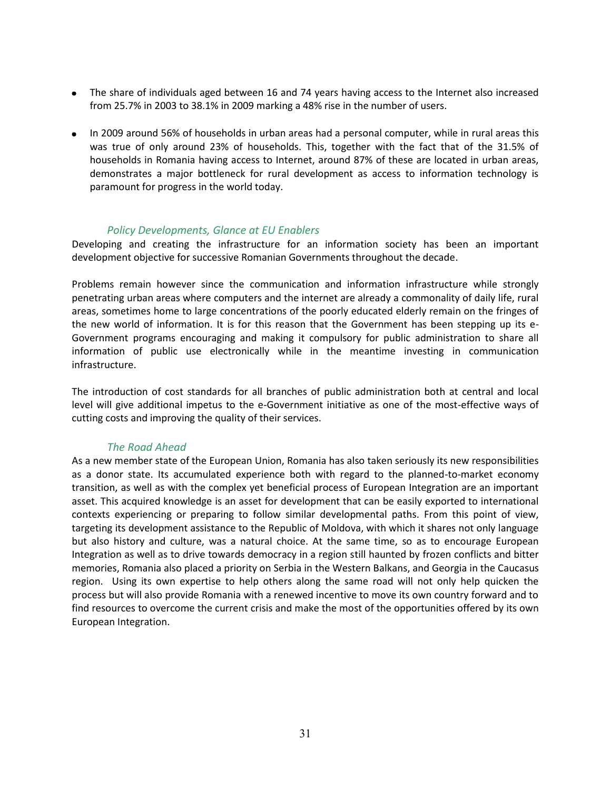- The share of individuals aged between 16 and 74 years having access to the Internet also increased from 25.7% in 2003 to 38.1% in 2009 marking a 48% rise in the number of users.
- In 2009 around 56% of households in urban areas had a personal computer, while in rural areas this was true of only around 23% of households. This, together with the fact that of the 31.5% of households in Romania having access to Internet, around 87% of these are located in urban areas, demonstrates a major bottleneck for rural development as access to information technology is paramount for progress in the world today.

#### *Policy Developments, Glance at EU Enablers*

Developing and creating the infrastructure for an information society has been an important development objective for successive Romanian Governments throughout the decade.

Problems remain however since the communication and information infrastructure while strongly penetrating urban areas where computers and the internet are already a commonality of daily life, rural areas, sometimes home to large concentrations of the poorly educated elderly remain on the fringes of the new world of information. It is for this reason that the Government has been stepping up its e-Government programs encouraging and making it compulsory for public administration to share all information of public use electronically while in the meantime investing in communication infrastructure.

The introduction of cost standards for all branches of public administration both at central and local level will give additional impetus to the e-Government initiative as one of the most-effective ways of cutting costs and improving the quality of their services.

#### *The Road Ahead*

As a new member state of the European Union, Romania has also taken seriously its new responsibilities as a donor state. Its accumulated experience both with regard to the planned-to-market economy transition, as well as with the complex yet beneficial process of European Integration are an important asset. This acquired knowledge is an asset for development that can be easily exported to international contexts experiencing or preparing to follow similar developmental paths. From this point of view, targeting its development assistance to the Republic of Moldova, with which it shares not only language but also history and culture, was a natural choice. At the same time, so as to encourage European Integration as well as to drive towards democracy in a region still haunted by frozen conflicts and bitter memories, Romania also placed a priority on Serbia in the Western Balkans, and Georgia in the Caucasus region. Using its own expertise to help others along the same road will not only help quicken the process but will also provide Romania with a renewed incentive to move its own country forward and to find resources to overcome the current crisis and make the most of the opportunities offered by its own European Integration.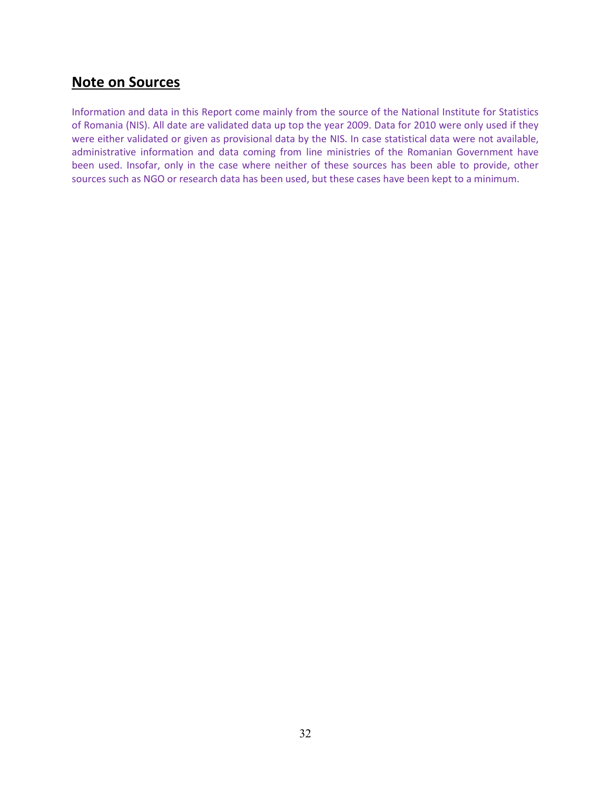# **Note on Sources**

Information and data in this Report come mainly from the source of the National Institute for Statistics of Romania (NIS). All date are validated data up top the year 2009. Data for 2010 were only used if they were either validated or given as provisional data by the NIS. In case statistical data were not available, administrative information and data coming from line ministries of the Romanian Government have been used. Insofar, only in the case where neither of these sources has been able to provide, other sources such as NGO or research data has been used, but these cases have been kept to a minimum.